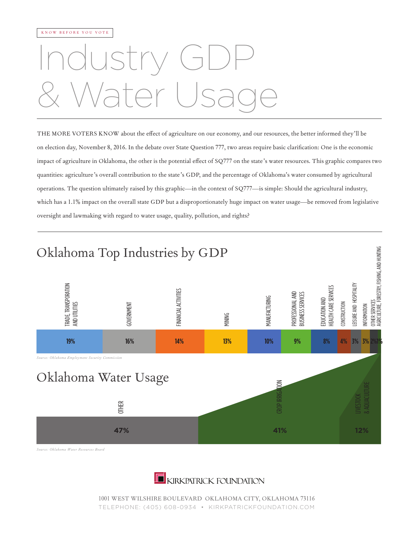## Industry GDP & Water Usage

THE MORE VOTERS KNOW about the effect of agriculture on our economy, and our resources, the better informed they'll be on election day, November 8, 2016. In the debate over State Question 777, two areas require basic clarification: One is the economic impact of agriculture in Oklahoma, the other is the potential effect of SQ777 on the state 's water resources. This graphic compares two quantities: agriculture 's overall contribution to the state 's GDP, and the percentage of Oklahoma's water consumed by agricultural operations. The question ultimately raised by this graphic—in the context of SQ777—is simple: Should the agricultural industry, which has a 1.1% impact on the overall state GDP but a disproportionately huge impact on water usage—be removed from legislative oversight and lawmaking with regard to water usage, quality, pollution, and rights?



*Source: Oklahoma Water Resources Board*



1001 WEST WILSHIRE BOULEVARD OKLAHOMA CITY, OKLAHOMA 73116 TELEPHONE: (405) 608-0934 • KIRKPATRICKFOUNDATION.COM